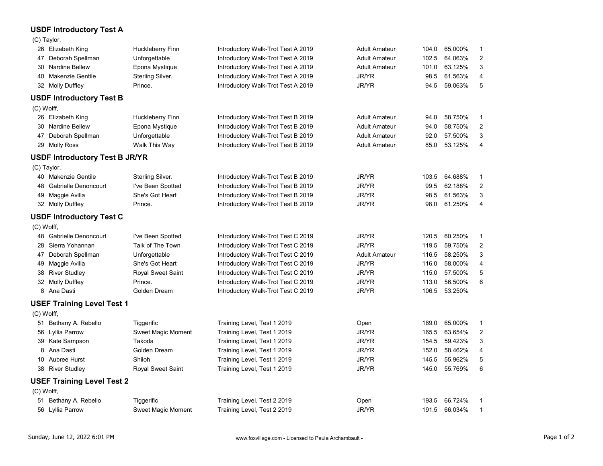## USDF Introductory Test A

| 51 Bethany A. Rebello<br>66.724%<br>Tiggerific<br>Training Level, Test 2 2019<br>Open<br>193.5<br>- 1<br>JR/YR<br>66.034%<br>56 Lyllia Parrow<br>Sweet Magic Moment<br>Training Level, Test 2 2019<br>191.5<br>$\overline{\mathbf{1}}$                              |  |
|---------------------------------------------------------------------------------------------------------------------------------------------------------------------------------------------------------------------------------------------------------------------|--|
| <b>USEF Training Level Test 2</b><br>(C) Wolff,                                                                                                                                                                                                                     |  |
|                                                                                                                                                                                                                                                                     |  |
|                                                                                                                                                                                                                                                                     |  |
| JR/YR<br>55.962%<br>Shiloh<br>$\sqrt{5}$<br>10 Aubree Hurst<br>Training Level, Test 1 2019<br>145.5<br>JR/YR<br>55.769%<br>6<br>38 River Studley<br>Royal Sweet Saint<br>Training Level, Test 1 2019<br>145.0                                                       |  |
| JR/YR<br>58.462%<br>8 Ana Dasti<br>Golden Dream<br>Training Level, Test 1 2019<br>152.0<br>4                                                                                                                                                                        |  |
| JR/YR<br>59.423%<br>$\mathbf{3}$<br>39 Kate Sampson<br>Takoda<br>Training Level, Test 1 2019<br>154.5                                                                                                                                                               |  |
| JR/YR<br>63.654%<br>56 Lyllia Parrow<br>$\overline{2}$<br>Sweet Magic Moment<br>Training Level, Test 1 2019<br>165.5                                                                                                                                                |  |
| (C) Wolff,<br>51 Bethany A. Rebello<br>65.000%<br>Tiggerific<br>Training Level, Test 1 2019<br>Open<br>169.0<br>- 1                                                                                                                                                 |  |
| <b>USEF Training Level Test 1</b>                                                                                                                                                                                                                                   |  |
| JR/YR<br>8 Ana Dasti<br>53.250%<br>Golden Dream<br>Introductory Walk-Trot Test C 2019<br>106.5                                                                                                                                                                      |  |
| JR/YR<br>32 Molly Duffley<br>56.500%<br>6<br>Prince.<br>Introductory Walk-Trot Test C 2019<br>113.0                                                                                                                                                                 |  |
| 38 River Studley<br>Royal Sweet Saint<br>JR/YR<br>57.500%<br>Introductory Walk-Trot Test C 2019<br>115.0<br>$5\phantom{.0}$                                                                                                                                         |  |
| JR/YR<br>58.000%<br>49 Maggie Avilla<br>She's Got Heart<br>Introductory Walk-Trot Test C 2019<br>116.0<br>4                                                                                                                                                         |  |
| JR/YR<br>59.750%<br>Talk of The Town<br>$\overline{\mathbf{c}}$<br>28 Sierra Yohannan<br>Introductory Walk-Trot Test C 2019<br>119.5<br>47 Deborah Spellman<br>58.250%<br>3<br>Unforgettable<br>Introductory Walk-Trot Test C 2019<br><b>Adult Amateur</b><br>116.5 |  |
| JR/YR<br>48 Gabrielle Denoncourt<br>60.250%<br>I've Been Spotted<br>Introductory Walk-Trot Test C 2019<br>120.5<br>-1                                                                                                                                               |  |
| (C) Wolff,                                                                                                                                                                                                                                                          |  |
| <b>USDF Introductory Test C</b>                                                                                                                                                                                                                                     |  |
| JR/YR<br>61.250%<br>32 Molly Duffley<br>Prince.<br>Introductory Walk-Trot Test B 2019<br>98.0<br>4                                                                                                                                                                  |  |
| JR/YR<br>She's Got Heart<br>98.5 61.563%<br>49 Maggie Avilla<br>Introductory Walk-Trot Test B 2019<br>$\mathbf{3}$                                                                                                                                                  |  |
| Sterling Silver.<br>JR/YR<br>40 Makenzie Gentile<br>Introductory Walk-Trot Test B 2019<br>64.688%<br>103.5<br>JR/YR<br>$\overline{2}$<br>62.188%<br>48 Gabrielle Denoncourt<br>I've Been Spotted<br>Introductory Walk-Trot Test B 2019<br>99.5                      |  |
| (C) Taylor,<br>-1                                                                                                                                                                                                                                                   |  |
| <b>USDF Introductory Test B JR/YR</b>                                                                                                                                                                                                                               |  |
| 29 Molly Ross<br>Introductory Walk-Trot Test B 2019<br>53.125%<br>Walk This Way<br><b>Adult Amateur</b><br>85.0<br>4                                                                                                                                                |  |
| 47 Deborah Spellman<br>Introductory Walk-Trot Test B 2019<br>57.500%<br>3<br>Unforgettable<br><b>Adult Amateur</b><br>92.0                                                                                                                                          |  |
| 30 Nardine Bellew<br>Epona Mystique<br>Introductory Walk-Trot Test B 2019<br>58.750%<br>$\overline{2}$<br><b>Adult Amateur</b><br>94.0                                                                                                                              |  |
| 26 Elizabeth King<br>Huckleberry Finn<br>Introductory Walk-Trot Test B 2019<br><b>Adult Amateur</b><br>58.750%<br>94.0<br>-1                                                                                                                                        |  |
| <b>USDF Introductory Test B</b><br>(C) Wolff,                                                                                                                                                                                                                       |  |
|                                                                                                                                                                                                                                                                     |  |
| JR/YR<br>40 Makenzie Gentile<br>Sterling Silver.<br>Introductory Walk-Trot Test A 2019<br>61.563%<br>98.5<br>$\overline{4}$<br>JR/YR<br>32 Molly Duffley<br>Prince.<br>59.063%<br>5<br>Introductory Walk-Trot Test A 2019<br>94.5                                   |  |
| 30 Nardine Bellew<br>Epona Mystique<br>Introductory Walk-Trot Test A 2019<br>63.125%<br>3<br><b>Adult Amateur</b><br>101.0                                                                                                                                          |  |
| 47 Deborah Spellman<br>Unforgettable<br>Introductory Walk-Trot Test A 2019<br><b>Adult Amateur</b><br>64.063%<br>$\overline{2}$<br>102.5                                                                                                                            |  |
| 65.000%<br>26 Elizabeth King<br>Huckleberry Finn<br>Introductory Walk-Trot Test A 2019<br><b>Adult Amateur</b><br>104.0<br>-1                                                                                                                                       |  |
| <b>USDF Introductory Test A</b><br>(C) Taylor,                                                                                                                                                                                                                      |  |